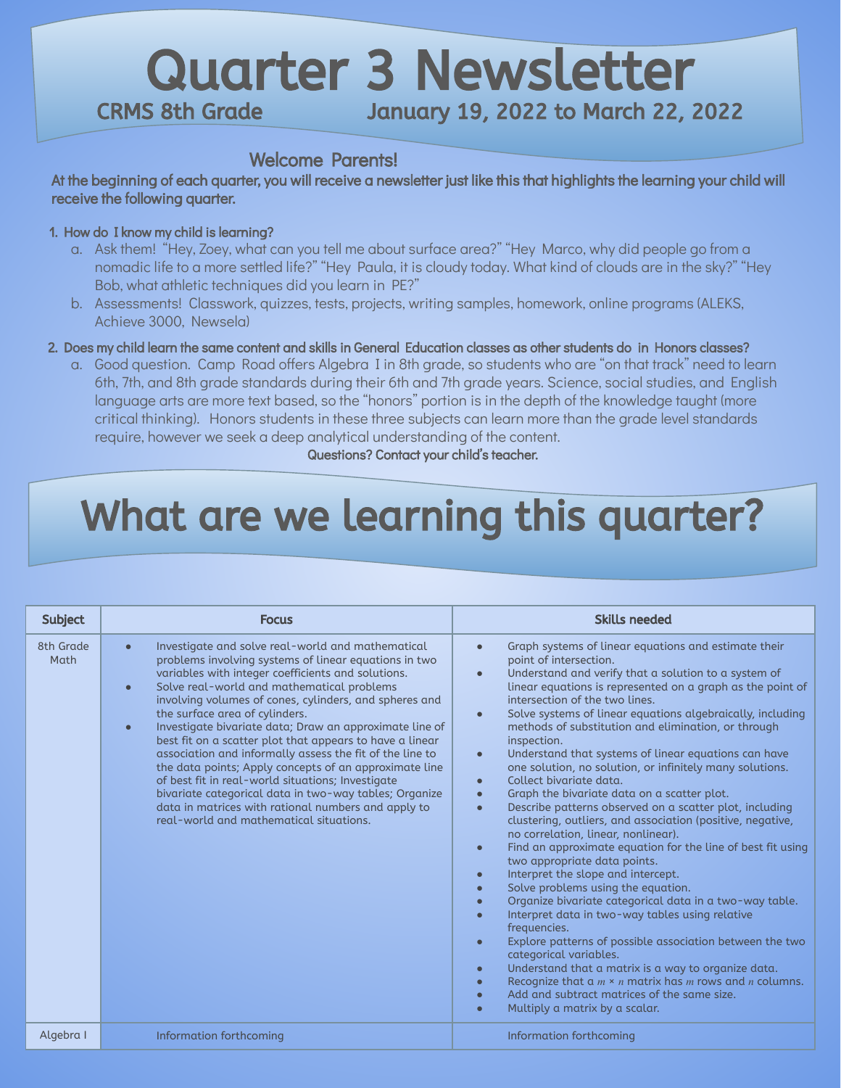## Quarter 3 Newsletter<br>CRMS 8th Grade January 19, 2022 to March 22, 2 January 19, 2022 to March 22, 2022

#### Welcome Parents!

At the beginning of each quarter, you will receive a newsletter just like this that highlights the learning your child will receive the following quarter.

#### 1. How do I know my child is learning?

- a. Ask them! "Hey, Zoey, what can you tell me about surface area?" "Hey Marco, why did people go from a nomadic life to a more settled life?" "Hey Paula, it is cloudy today. What kind of clouds are in the sky?" "Hey Bob, what athletic techniques did you learn in PE?"
- b. Assessments! Classwork, quizzes, tests, projects, writing samples, homework, online programs (ALEKS, Achieve 3000, Newsela)
- 2. Does my child learn the same content and skills in General Education classes as other students do in Honors classes?
	- a. Good question. Camp Road offers Algebra I in 8th grade, so students who are "on that track" need to learn 6th, 7th, and 8th grade standards during their 6th and 7th grade years. Science, social studies, and English language arts are more text based, so the "honors" portion is in the depth of the knowledge taught (more critical thinking). Honors students in these three subjects can learn more than the grade level standards require, however we seek a deep analytical understanding of the content.

Questions? Contact your child's teacher.

# What are we learning this quarter?

| <b>Subject</b>    | <b>Focus</b>                                                                                                                                                                                                                                                                                                                                                                                                                                                                                                                                                                                                                                                                                                                                                                                                    | <b>Skills needed</b>                                                                                                                                                                                                                                                                                                                                                                                                                                                                                                                                                                                                                                                                                                                                                                                                                                                                                                                                                                                                                                                                                                                                                                                                                                                                                                                                                                                                                                                                                                                                                               |
|-------------------|-----------------------------------------------------------------------------------------------------------------------------------------------------------------------------------------------------------------------------------------------------------------------------------------------------------------------------------------------------------------------------------------------------------------------------------------------------------------------------------------------------------------------------------------------------------------------------------------------------------------------------------------------------------------------------------------------------------------------------------------------------------------------------------------------------------------|------------------------------------------------------------------------------------------------------------------------------------------------------------------------------------------------------------------------------------------------------------------------------------------------------------------------------------------------------------------------------------------------------------------------------------------------------------------------------------------------------------------------------------------------------------------------------------------------------------------------------------------------------------------------------------------------------------------------------------------------------------------------------------------------------------------------------------------------------------------------------------------------------------------------------------------------------------------------------------------------------------------------------------------------------------------------------------------------------------------------------------------------------------------------------------------------------------------------------------------------------------------------------------------------------------------------------------------------------------------------------------------------------------------------------------------------------------------------------------------------------------------------------------------------------------------------------------|
| 8th Grade<br>Math | Investigate and solve real-world and mathematical<br>$\bullet$<br>problems involving systems of linear equations in two<br>variables with integer coefficients and solutions.<br>Solve real-world and mathematical problems<br>$\bullet$<br>involving volumes of cones, cylinders, and spheres and<br>the surface area of cylinders.<br>Investigate bivariate data; Draw an approximate line of<br>$\bullet$<br>best fit on a scatter plot that appears to have a linear<br>association and informally assess the fit of the line to<br>the data points; Apply concepts of an approximate line<br>of best fit in real-world situations; Investigate<br>bivariate categorical data in two-way tables; Organize<br>data in matrices with rational numbers and apply to<br>real-world and mathematical situations. | Graph systems of linear equations and estimate their<br>$\bullet$<br>point of intersection.<br>Understand and verify that a solution to a system of<br>$\bullet$<br>linear equations is represented on a graph as the point of<br>intersection of the two lines.<br>Solve systems of linear equations algebraically, including<br>$\bullet$<br>methods of substitution and elimination, or through<br>inspection.<br>Understand that systems of linear equations can have<br>$\bullet$<br>one solution, no solution, or infinitely many solutions.<br>Collect bivariate data.<br>$\bullet$<br>Graph the bivariate data on a scatter plot.<br>$\bullet$<br>Describe patterns observed on a scatter plot, including<br>$\bullet$<br>clustering, outliers, and association (positive, negative,<br>no correlation, linear, nonlinear).<br>Find an approximate equation for the line of best fit using<br>$\bullet$<br>two appropriate data points.<br>Interpret the slope and intercept.<br>$\bullet$<br>Solve problems using the equation.<br>Organize bivariate categorical data in a two-way table.<br>$\bullet$<br>Interpret data in two-way tables using relative<br>$\bullet$<br>frequencies.<br>Explore patterns of possible association between the two<br>$\bullet$<br>categorical variables.<br>Understand that a matrix is a way to organize data.<br>$\bullet$<br>Recognize that $a \, m \times n$ matrix has <i>m</i> rows and <i>n</i> columns.<br>$\bullet$<br>Add and subtract matrices of the same size.<br>$\bullet$<br>Multiply a matrix by a scalar.<br>$\bullet$ |
| Algebra I         | Information forthcoming                                                                                                                                                                                                                                                                                                                                                                                                                                                                                                                                                                                                                                                                                                                                                                                         | Information forthcoming                                                                                                                                                                                                                                                                                                                                                                                                                                                                                                                                                                                                                                                                                                                                                                                                                                                                                                                                                                                                                                                                                                                                                                                                                                                                                                                                                                                                                                                                                                                                                            |